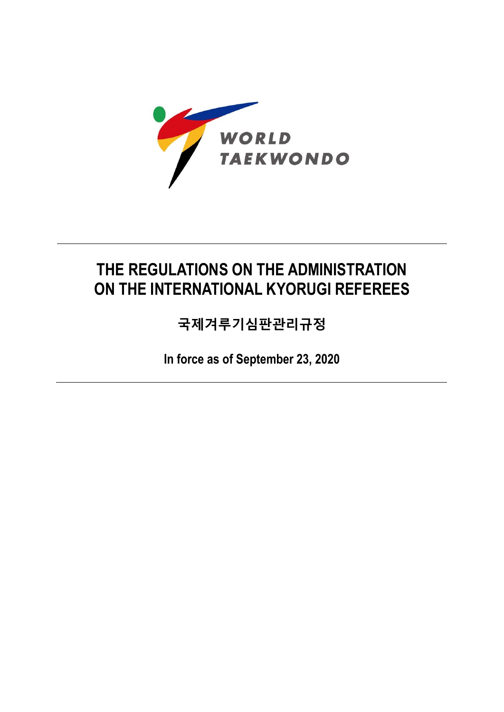

# **THE REGULATIONS ON THE ADMINISTRATION ON THE INTERNATIONAL KYORUGI REFEREES**

**국제겨루기심판관리규정**

**In force as of September 23, 2020**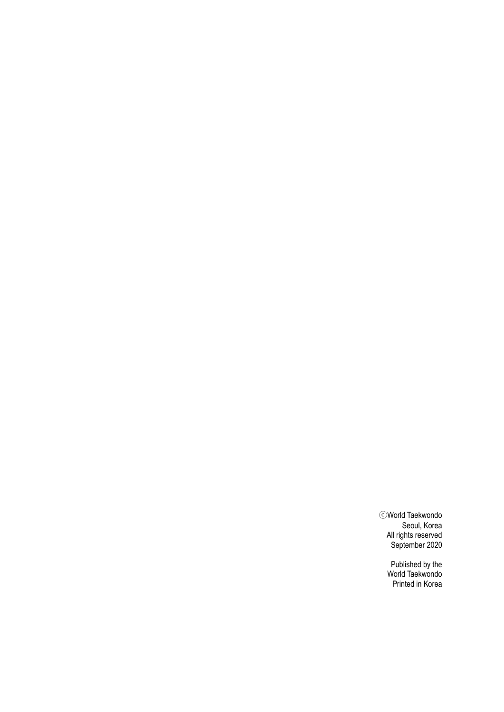ⓒWorld Taekwondo Seoul, Korea All rights reserved September 2020

> Published by the World Taekwondo Printed in Korea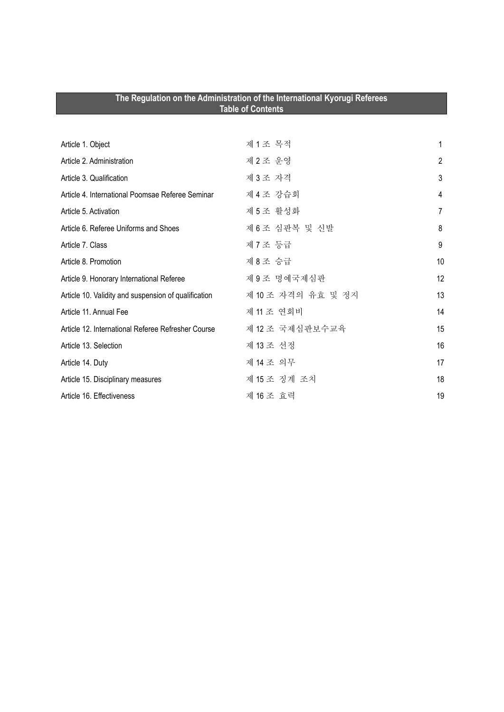| The Regulation on the Administration of the International Kyorugi Referees<br><b>Table of Contents</b> |                    |                |
|--------------------------------------------------------------------------------------------------------|--------------------|----------------|
|                                                                                                        |                    |                |
| Article 1. Object                                                                                      | 제1조 목적             | 1              |
| Article 2. Administration                                                                              | 제2조 운영             | $\overline{2}$ |
| Article 3. Qualification                                                                               | 제3조 자격             | 3              |
| Article 4. International Poomsae Referee Seminar                                                       | 제 4 조 강습회          | 4              |
| Article 5. Activation                                                                                  | 제5조 활성화            | 7              |
| Article 6. Referee Uniforms and Shoes                                                                  | 제 6 조심판복 및 신발      | 8              |
| Article 7. Class                                                                                       | 제 7 조 등급           | 9              |
| Article 8. Promotion                                                                                   | 제 8 조 승급           | 10             |
| Article 9. Honorary International Referee                                                              | 제9조 명예국제심판         | 12             |
| Article 10. Validity and suspension of qualification                                                   | 제 10 조 자격의 유효 및 정지 | 13             |
| Article 11, Annual Fee                                                                                 | 제 11 조 연회비         | 14             |
| Article 12. International Referee Refresher Course                                                     | 제 12 조 국제심판보수교육    | 15             |
| Article 13. Selection                                                                                  | 제 13 조 선정          | 16             |
| Article 14. Duty                                                                                       | 제 14 조 의무          | 17             |
| Article 15. Disciplinary measures                                                                      | 제 15 조 징계 조치       | 18             |
| Article 16. Effectiveness                                                                              | 제 16 조 효력          | 19             |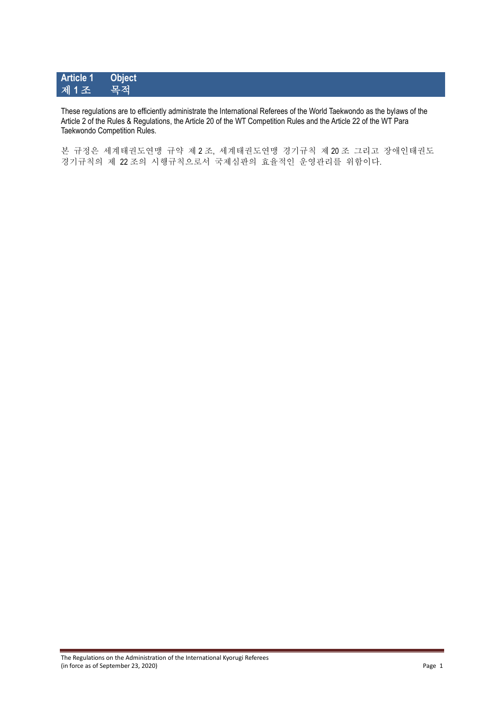# **Article 1 Object** 제 1조

These regulations are to efficiently administrate the International Referees of the World Taekwondo as the bylaws of the Article 2 of the Rules & Regulations, the Article 20 of the WT Competition Rules and the Article 22 of the WT Para Taekwondo Competition Rules.

본 규정은 세계태권도연맹 규약 제 2 조, 세계태권도연맹 경기규칙 제 20 조 그리고 장애인태권도 경기규칙의 제 22 조의 시행규칙으로서 국제심판의 효율적인 운영관리를 위함이다.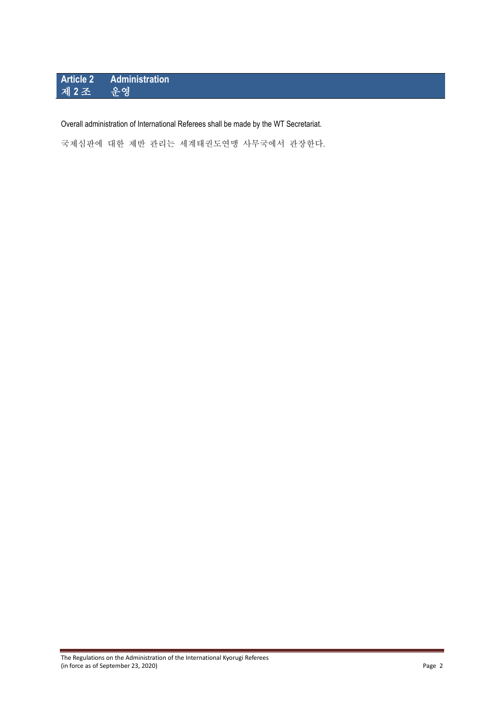# **Article 2 Administration** 제 **2** 조 운영

### Overall administration of International Referees shall be made by the WT Secretariat.

국제심판에 대한 제반 관리는 세계태권도연맹 사무국에서 관장한다.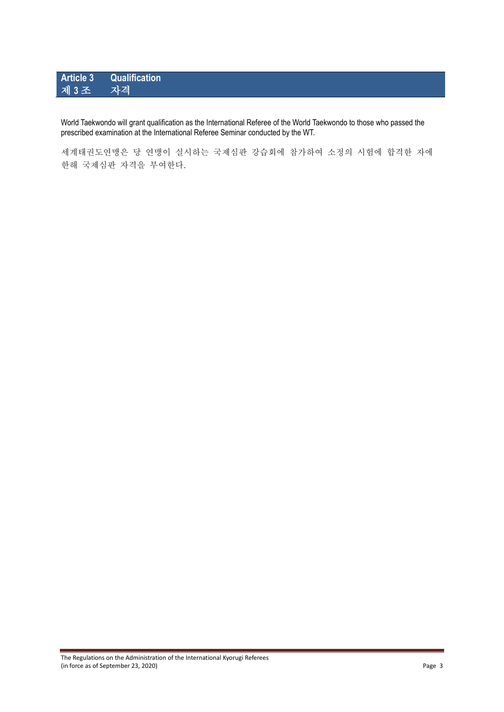# **Article 3 Qualification** 제 3조

World Taekwondo will grant qualification as the International Referee of the World Taekwondo to those who passed the prescribed examination at the International Referee Seminar conducted by the WT.

세계태권도연맹은 당 연맹이 실시하는 국제심판 강습회에 참가하여 소정의 시험에 합격한 자에 한해 국제심판 자격을 부여한다.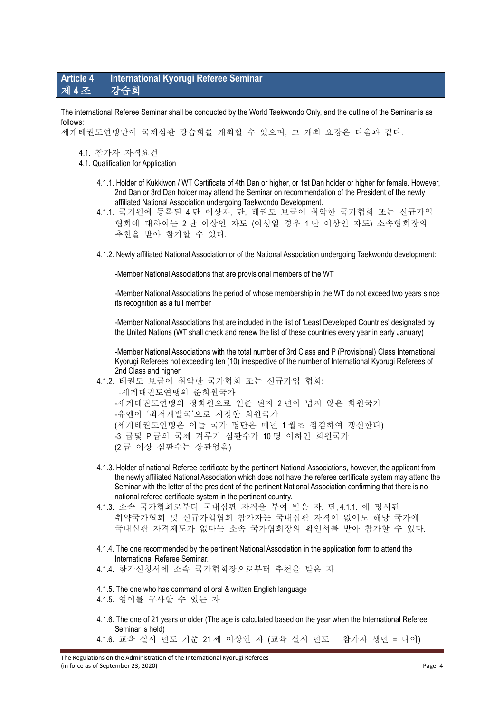### **Article 4 International Kyorugi Referee Seminar** 제 **4** 조 강습회

The international Referee Seminar shall be conducted by the World Taekwondo Only, and the outline of the Seminar is as follows:

세계태권도연맹만이 국제심판 강습회를 개최할 수 있으며, 그 개최 요강은 다음과 같다.

- 4.1. 참가자 자격요건
- 4.1. Qualification for Application
	- 4.1.1. Holder of Kukkiwon / WT Certificate of 4th Dan or higher, or 1st Dan holder or higher for female. However, 2nd Dan or 3rd Dan holder may attend the Seminar on recommendation of the President of the newly affiliated National Association undergoing Taekwondo Development.
	- 4.1.1. 국기원에 등록된 4 단 이상자, 단, 태권도 보급이 취약한 국가협회 또는 신규가입 협회에 대하여는 2 단 이상인 자도 (여성일 경우 1 단 이상인 자도) 소속협회장의 추천을 받아 참가할 수 있다.
	- 4.1.2. Newly affiliated National Association or of the National Association undergoing Taekwondo development:

-Member National Associations that are provisional members of the WT

-Member National Associations the period of whose membership in the WT do not exceed two years since its recognition as a full member

-Member National Associations that are included in the list of 'Least Developed Countries' designated by the United Nations (WT shall check and renew the list of these countries every year in early January)

-Member National Associations with the total number of 3rd Class and P (Provisional) Class International Kyorugi Referees not exceeding ten (10) irrespective of the number of International Kyorugi Referees of 2nd Class and higher.

- 4.1.2. 태권도 보급이 취약한 국가협회 또는 신규가입 협회: -세계태권도연맹의 준회원국가 -세계태권도연맹의 정회원으로 인준 된지 2 년이 넘지 않은 회원국가 -유엔이 '최저개발국'으로 지정한 회원국가 (세계태권도연맹은 이들 국가 명단은 매년 1 월초 점검하여 갱신한다) -3 급및 P 급의 국제 겨루기 심판수가 10 명 이하인 회원국가 (2 급 이상 심판수는 상관없음)
- 4.1.3. Holder of national Referee certificate by the pertinent National Associations, however, the applicant from the newly affiliated National Association which does not have the referee certificate system may attend the Seminar with the letter of the president of the pertinent National Association confirming that there is no national referee certificate system in the pertinent country.
- 4.1.3. 소속 국가협회로부터 국내심판 자격을 부여 받은 자. 단, 4.1.1. 에 명시된 취약국가협회 및 신규가입협회 참가자는 국내심판 자격이 없어도 해당 국가에 국내심판 자격제도가 없다는 소속 국가협회장의 확인서를 받아 참가할 수 있다.
- 4.1.4. The one recommended by the pertinent National Association in the application form to attend the International Referee Seminar.

4.1.4. 참가신청서에 소속 국가협회장으로부터 추천을 받은 자

- 4.1.5. The one who has command of oral & written English language 4.1.5. 영어를 구사할 수 있는 자
- 4.1.6. The one of 21 years or older (The age is calculated based on the year when the International Referee Seminar is held)
- 4.1.6. 교육 실시 년도 기준 21 세 이상인 자 (교육 실시 년도 참가자 생년 = 나이)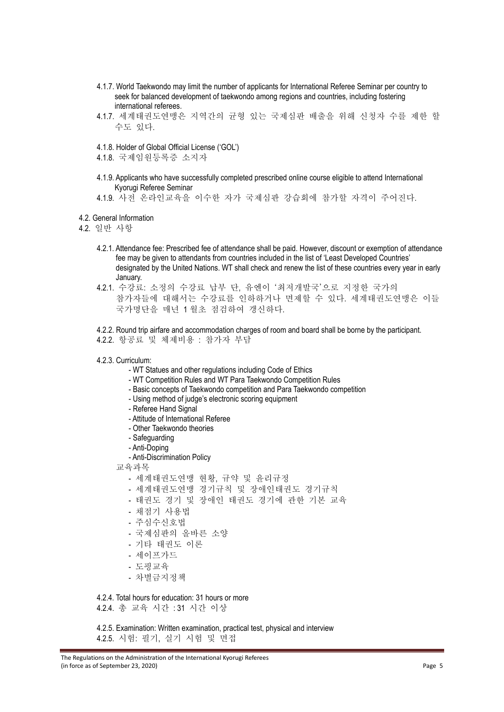- 4.1.7. World Taekwondo may limit the number of applicants for International Referee Seminar per country to seek for balanced development of taekwondo among regions and countries, including fostering international referees.
- 4.1.7. 세계태권도연맹은 지역간의 균형 있는 국제심판 배출을 위해 신청자 수를 제한 할 수도 있다.
- 4.1.8. Holder of Global Official License ('GOL')
- 4.1.8. 국제임원등록증 소지자
- 4.1.9. Applicants who have successfully completed prescribed online course eligible to attend International Kyorugi Referee Seminar

4.1.9. 사전 온라인교육을 이수한 자가 국제심판 강습회에 참가할 자격이 주어진다.

4.2. General Information

4.2. 일반 사항

- 4.2.1. Attendance fee: Prescribed fee of attendance shall be paid. However, discount or exemption of attendance fee may be given to attendants from countries included in the list of 'Least Developed Countries' designated by the United Nations. WT shall check and renew the list of these countries every year in early January.
- 4.2.1. 수강료: 소정의 수강료 납부 단, 유엔이 '최저개발국'으로 지정한 국가의 참가자들에 대해서는 수강료를 인하하거나 면제할 수 있다. 세계태권도연맹은 이들 국가명단을 매년 1 월초 점검하여 갱신하다.
- 4.2.2. Round trip airfare and accommodation charges of room and board shall be borne by the participant.
- 4.2.2. 항공료 및 체제비용 : 참가자 부담
- 4.2.3. Curriculum:
	- WT Statues and other regulations including Code of Ethics
	- WT Competition Rules and WT Para Taekwondo Competition Rules
	- Basic concepts of Taekwondo competition and Para Taekwondo competition
	- Using method of judge's electronic scoring equipment
	- Referee Hand Signal
	- Attitude of International Referee
	- Other Taekwondo theories
	- Safeguarding
	- Anti-Doping
	- Anti-Discrimination Policy

교육과목

- 세계태권도연맹 현황, 규약 및 윤리규정
- 세계태권도연맹 경기규칙 및 장애인태권도 경기규칙
- 태권도 경기 및 장애인 태권도 경기에 관한 기본 교육
- 채점기 사용법
- 주심수신호법
- 국제심판의 올바른 소양
- 기타 태권도 이론
- 세이프가드
- 도핑교육
- 차별금지정책

4.2.4. Total hours for education: 31 hours or more

4.2.4. 총 교육 시간 : 31 시간 이상

4.2.5. Examination: Written examination, practical test, physical and interview 4.2.5. 시험: 필기, 실기 시험 및 면접

The Regulations on the Administration of the International Kyorugi Referees (in force as of September 23, 2020) Page 5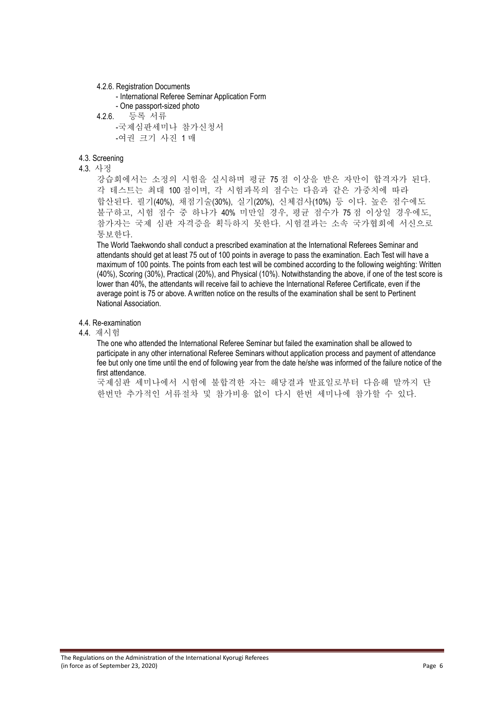4.2.6. Registration Documents

```
- International Referee Seminar Application Form 
    - One passport-sized photo 
4.2.6. 등록 서류
    -국제심판세미나 참가신청서
    -여권 크기 사진 1 매
```
#### 4.3. Screening

#### 4.3. 사정

강습회에서는 소정의 시험을 실시하며 평균 75 점 이상을 받은 자만이 합격자가 된다. 각 테스트는 최대 100 점이며, 각 시험과목의 점수는 다음과 같은 가중치에 따라 합산된다. 필기(40%), 채점기술(30%), 실기(20%), 신체검사(10%) 등 이다. 높은 점수에도 불구하고, 시험 점수 중 하나가 40% 미만일 경우, 평균 점수가 75 점 이상일 경우에도, 참가자는 국제 심판 자격증을 획득하지 못한다. 시험결과는 소속 국가협회에 서신으로 통보한다.

The World Taekwondo shall conduct a prescribed examination at the International Referees Seminar and attendants should get at least 75 out of 100 points in average to pass the examination. Each Test will have a maximum of 100 points. The points from each test will be combined according to the following weighting: Written (40%), Scoring (30%), Practical (20%), and Physical (10%). Notwithstanding the above, if one of the test score is lower than 40%, the attendants will receive fail to achieve the International Referee Certificate, even if the average point is 75 or above. A written notice on the results of the examination shall be sent to Pertinent National Association.

### 4.4. Re-examination

### 4.4. 재시험

The one who attended the International Referee Seminar but failed the examination shall be allowed to participate in any other international Referee Seminars without application process and payment of attendance fee but only one time until the end of following year from the date he/she was informed of the failure notice of the first attendance.

국제심판 세미나에서 시험에 불합격한 자는 해당결과 발표일로부터 다음해 말까지 단 한번만 추가적인 서류절차 및 참가비용 없이 다시 한번 세미나에 참가할 수 있다.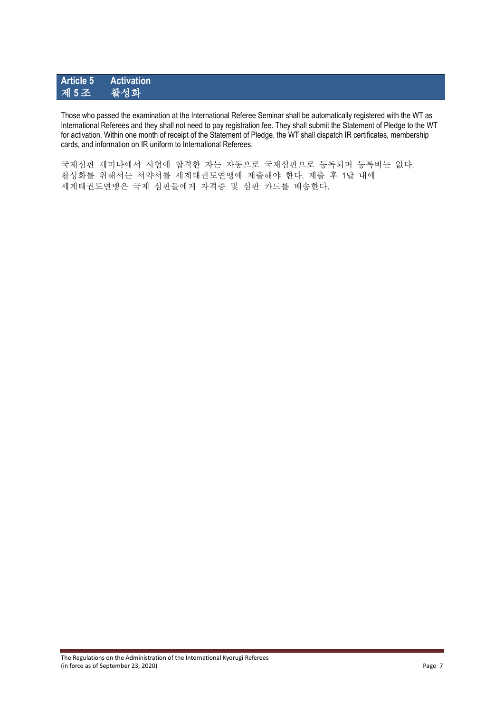# **Article 5 Activation** 제 **5** 조 활성화

Those who passed the examination at the International Referee Seminar shall be automatically registered with the WT as International Referees and they shall not need to pay registration fee. They shall submit the Statement of Pledge to the WT for activation. Within one month of receipt of the Statement of Pledge, the WT shall dispatch IR certificates, membership cards, and information on IR uniform to International Referees.

국제심판 세미나에서 시험에 합격한 자는 자동으로 국제심판으로 등록되며 등록비는 없다. 활성화를 위해서는 서약서를 세계태권도연맹에 제출해야 한다. 제출 후 1달 내에 세계태권도연맹은 국제 심판들에게 자격증 및 심판 카드를 배송한다.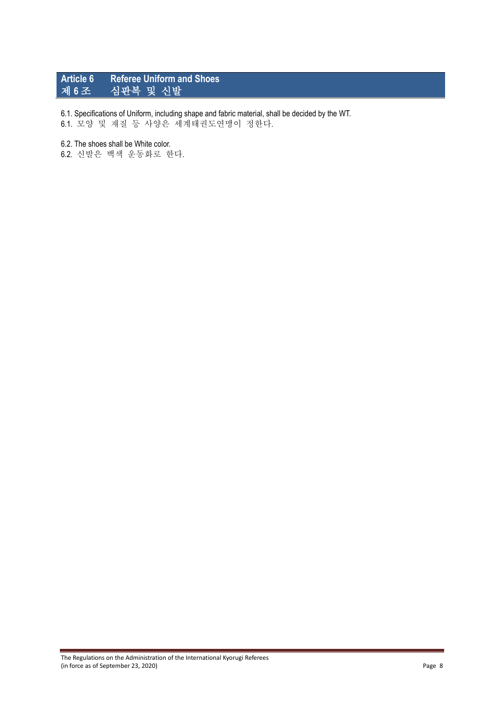# **Article 6 Referee Uniform and Shoes** 제 **6** 조 심판복 및 신발

6.1. Specifications of Uniform, including shape and fabric material, shall be decided by the WT. 6.1. 모양 및 재질 등 사양은 세계태권도연맹이 정한다.

#### 6.2. The shoes shall be White color.

6.2. 신발은 백색 운동화로 한다.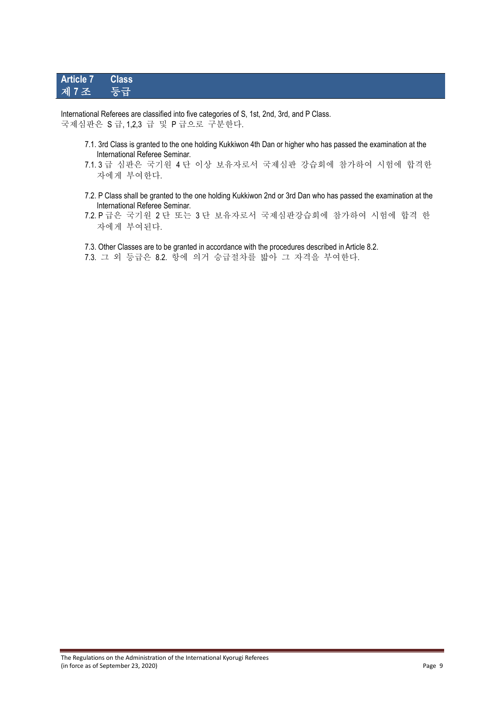# **Article 7 Class** 제 **7** 조 등급

International Referees are classified into five categories of S, 1st, 2nd, 3rd, and P Class. 국제심판은 S 급, 1,2,3 급 및 P 급으로 구분한다.

- 7.1. 3rd Class is granted to the one holding Kukkiwon 4th Dan or higher who has passed the examination at the International Referee Seminar.
- 7.1. 3 급 심판은 국기원 4 단 이상 보유자로서 국제심판 강습회에 참가하여 시험에 합격한 자에게 부여한다.
- 7.2. P Class shall be granted to the one holding Kukkiwon 2nd or 3rd Dan who has passed the examination at the International Referee Seminar.
- 7.2. P 급은 국기원 2 단 또는 3 단 보유자로서 국제심판강습회에 참가하여 시험에 합격 한 자에게 부여된다.

7.3. Other Classes are to be granted in accordance with the procedures described in Article 8.2.

7.3. 그 외 등급은 8.2. 항에 의거 승급절차를 밟아 그 자격을 부여한다.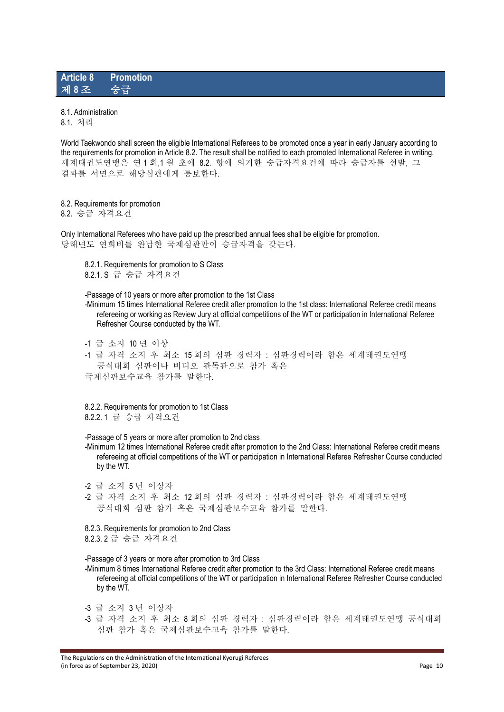### **Article 8 Promotion** 제 **8** 조 승급

#### 8.1. Administration

8.1. 처리

World Taekwondo shall screen the eligible International Referees to be promoted once a year in early January according to the requirements for promotion in Article 8.2. The result shall be notified to each promoted International Referee in writing. 세계태권도연맹은 연 1 회,1 월 초에 8.2. 항에 의거한 승급자격요건에 따라 승급자를 선발, 그 결과를 서면으로 해당심판에게 통보한다.

#### 8.2. Requirements for promotion

8.2. 승급 자격요건

Only International Referees who have paid up the prescribed annual fees shall be eligible for promotion. 당해년도 연회비를 완납한 국제심판만이 승급자격을 갖는다.

8.2.1. Requirements for promotion to S Class 8.2.1. S 급 승급 자격요건

-Passage of 10 years or more after promotion to the 1st Class

-Minimum 15 times International Referee credit after promotion to the 1st class: International Referee credit means refereeing or working as Review Jury at official competitions of the WT or participation in International Referee Refresher Course conducted by the WT.

-1 급 소지 10 년 이상

-1 급 자격 소지 후 최소 15 회의 심판 경력자 : 심판경력이라 함은 세계태권도연맹 공식대회 심판이나 비디오 판독관으로 참가 혹은 국제심판보수교육 참가를 말한다.

8.2.2. Requirements for promotion to 1st Class 8.2.2. 1 급 승급 자격요건

-Passage of 5 years or more after promotion to 2nd class

-Minimum 12 times International Referee credit after promotion to the 2nd Class: International Referee credit means refereeing at official competitions of the WT or participation in International Referee Refresher Course conducted by the WT.

-2 급 소지 5 년 이상자

-2 급 자격 소지 후 최소 12 회의 심판 경력자 : 심판경력이라 함은 세계태권도연맹 공식대회 심판 참가 혹은 국제심판보수교육 참가를 말한다.

8.2.3. Requirements for promotion to 2nd Class 8.2.3. 2 급 승급 자격요건

-Passage of 3 years or more after promotion to 3rd Class

-Minimum 8 times International Referee credit after promotion to the 3rd Class: International Referee credit means refereeing at official competitions of the WT or participation in International Referee Refresher Course conducted by the WT.

-3 급 소지 3 년 이상자

-3 급 자격 소지 후 최소 8 회의 심판 경력자 : 심판경력이라 함은 세계태권도연맹 공식대회 심판 참가 혹은 국제심판보수교육 참가를 말한다.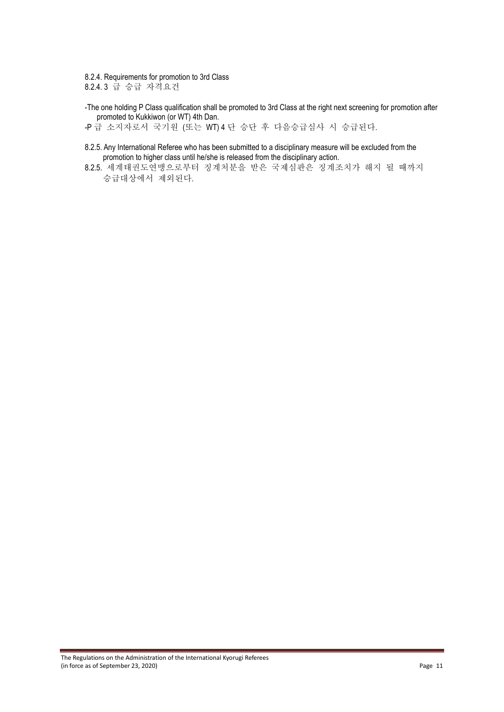8.2.4. Requirements for promotion to 3rd Class 8.2.4. 3 급 승급 자격요건

-The one holding P Class qualification shall be promoted to 3rd Class at the right next screening for promotion after promoted to Kukkiwon (or WT) 4th Dan.

-P 급 소지자로서 국기원 (또는 WT) 4 단 승단 후 다음승급심사 시 승급된다.

- 8.2.5. Any International Referee who has been submitted to a disciplinary measure will be excluded from the promotion to higher class until he/she is released from the disciplinary action.
- 8.2.5. 세계태권도연맹으로부터 징계처분을 받은 국제심판은 징계조치가 해지 될 때까지 승급대상에서 제외된다.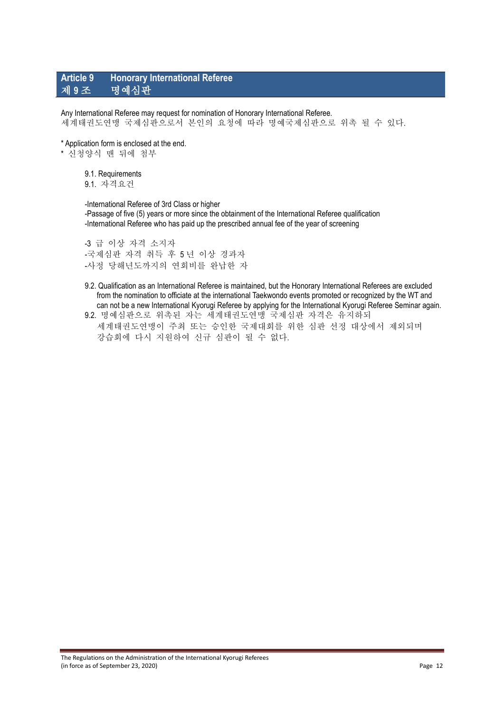### **Article 9 Honorary International Referee** 제 **9** 조 명예심판

Any International Referee may request for nomination of Honorary International Referee. 세계태권도연맹 국제심판으로서 본인의 요청에 따라 명예국제심판으로 위촉 될 수 있다.

\* Application form is enclosed at the end.

\* 신청양식 맨 뒤에 첨부

9.1. Requirements

9.1. 자격요건

-International Referee of 3rd Class or higher -Passage of five (5) years or more since the obtainment of the International Referee qualification -International Referee who has paid up the prescribed annual fee of the year of screening

-3 급 이상 자격 소지자 -국제심판 자격 취득 후 5 년 이상 경과자 -사정 당해년도까지의 연회비를 완납한 자

- 9.2. Qualification as an International Referee is maintained, but the Honorary International Referees are excluded from the nomination to officiate at the international Taekwondo events promoted or recognized by the WT and can not be a new International Kyorugi Referee by applying for the International Kyorugi Referee Seminar again.
- 9.2. 명예심판으로 위촉된 자는 세계태권도연맹 국제심판 자격은 유지하되 세계태권도연맹이 주최 또는 승인한 국제대회를 위한 심판 선정 대상에서 제외되며 강습회에 다시 지원하여 신규 심판이 될 수 없다.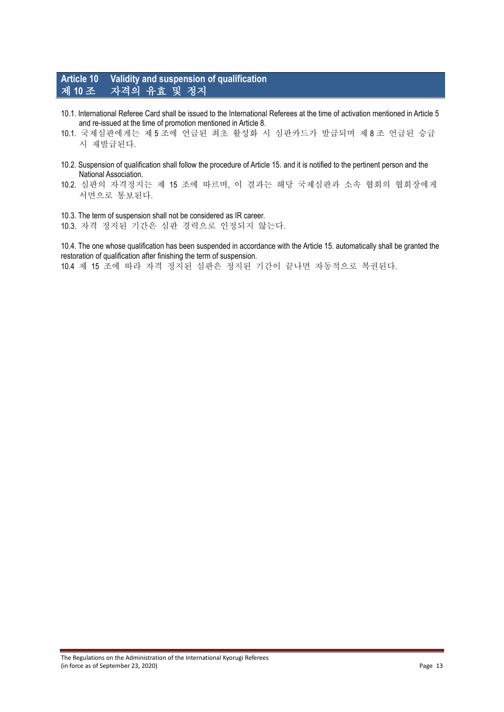# **Article 10 Validity and suspension of qualification** 제 **10** 조 자격의 유효 및 정지

- 10.1. International Referee Card shall be issued to the International Referees at the time of activation mentioned in Article 5 and re-issued at the time of promotion mentioned in Article 8.
- 10.1. 국제심판에게는 제 5 조에 언급된 최초 활성화 시 심판카드가 발급되며 제 8 조 언급된 승급 시 재발급된다.
- 10.2. Suspension of qualification shall follow the procedure of Article 15. and it is notified to the pertinent person and the National Association.
- 10.2. 심판의 자격정지는 제 15 조에 따르며, 이 결과는 해당 국제심판과 소속 협회의 협회장에게 서면으로 통보된다.
- 10.3. The term of suspension shall not be considered as IR career.

10.3. 자격 정지된 기간은 심판 경력으로 인정되지 않는다.

10.4. The one whose qualification has been suspended in accordance with the Article 15. automatically shall be granted the restoration of qualification after finishing the term of suspension.

10.4 제 15 조에 따라 자격 정지된 심판은 정지된 기간이 끝나면 자동적으로 복권된다.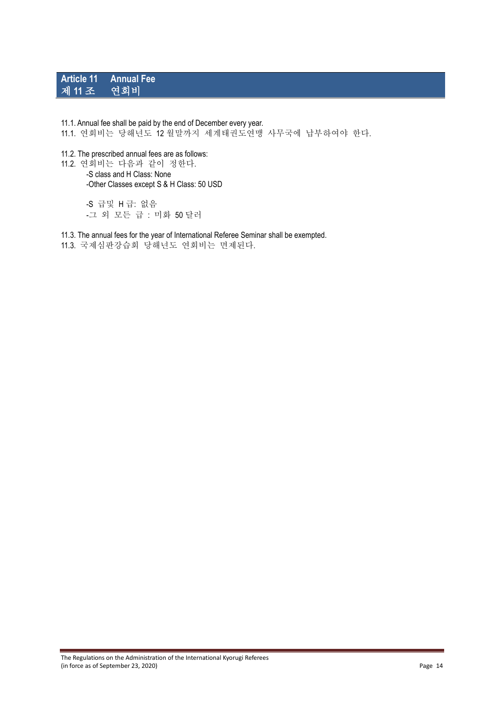### **Article 11 Annual Fee** 제 11 조

#### 11.1. Annual fee shall be paid by the end of December every year.

- 11.1. 연회비는 당해년도 12 월말까지 세계태권도연맹 사무국에 납부하여야 한다.
- 11.2. The prescribed annual fees are as follows:

11.2. 연회비는 다음과 같이 정한다. -S class and H Class: None -Other Classes except S & H Class: 50 USD

> -S 급및 H 급: 없음 -그 외 모든 급 : 미화 50 달러

11.3. The annual fees for the year of International Referee Seminar shall be exempted. 11.3. 국제심판강습회 당해년도 연회비는 면제된다.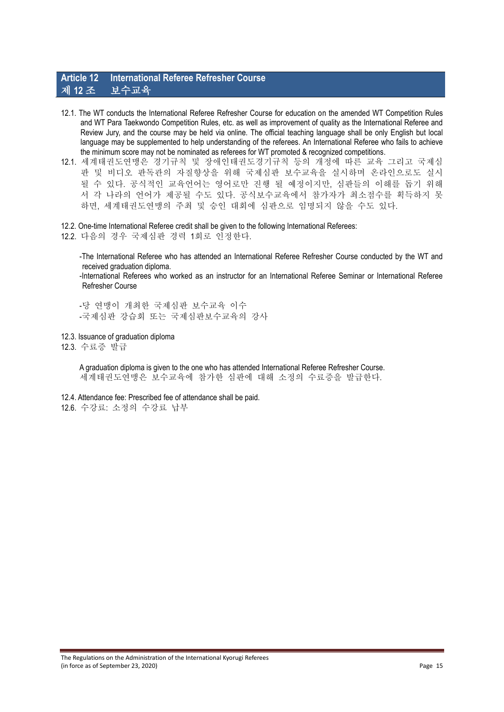### **Article 12 International Referee Refresher Course** 제 **12** 조 보수교육

- 12.1. The WT conducts the International Referee Refresher Course for education on the amended WT Competition Rules and WT Para Taekwondo Competition Rules, etc. as well as improvement of quality as the International Referee and Review Jury, and the course may be held via online. The official teaching language shall be only English but local language may be supplemented to help understanding of the referees. An International Referee who fails to achieve the minimum score may not be nominated as referees for WT promoted & recognized competitions.
- 12.1. 세계태권도연맹은 경기규칙 및 장애인태권도경기규칙 등의 개정에 따른 교육 그리고 국제심 판 및 비디오 판독관의 자질향상을 위해 국제심판 보수교육을 실시하며 온라인으로도 실시 될 수 있다. 공식적인 교육언어는 영어로만 진행 될 예정이지만, 심판들의 이해를 돕기 위해 서 각 나라의 언어가 제공될 수도 있다. 공식보수교육에서 참가자가 최소점수를 획득하지 못 하면, 세계태권도연맹의 주최 및 승인 대회에 심판으로 임명되지 않을 수도 있다.
- 12.2. One-time International Referee credit shall be given to the following International Referees:
- 12.2. 다음의 경우 국제심판 경력 1회로 인정한다.

-The International Referee who has attended an International Referee Refresher Course conducted by the WT and received graduation diploma.

-International Referees who worked as an instructor for an International Referee Seminar or International Referee Refresher Course

-당 연맹이 개최한 국제심판 보수교육 이수 -국제심판 강습회 또는 국제심판보수교육의 강사

12.3. Issuance of graduation diploma

12.3. 수료증 발급

A graduation diploma is given to the one who has attended International Referee Refresher Course. 세계태권도연맹은 보수교육에 참가한 심판에 대해 소정의 수료증을 발급한다.

- 12.4. Attendance fee: Prescribed fee of attendance shall be paid.
- 12.6. 수강료: 소정의 수강료 납부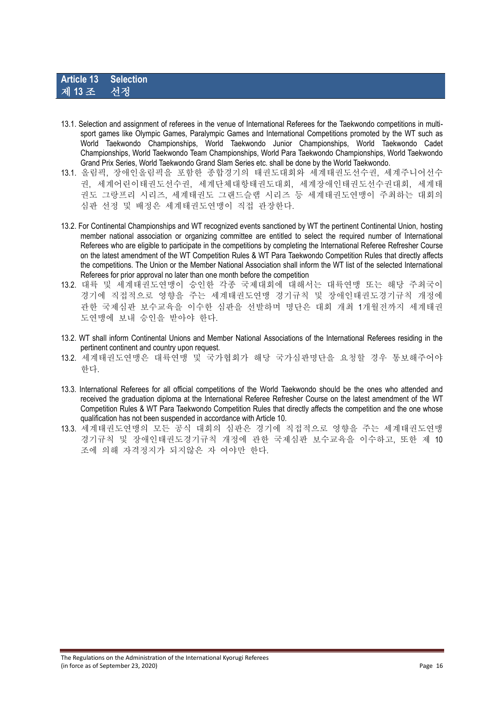- 13.1. Selection and assignment of referees in the venue of International Referees for the Taekwondo competitions in multisport games like Olympic Games, Paralympic Games and International Competitions promoted by the WT such as World Taekwondo Championships, World Taekwondo Junior Championships, World Taekwondo Cadet Championships, World Taekwondo Team Championships, World Para Taekwondo Championships, World Taekwondo Grand Prix Series, World Taekwondo Grand Slam Series etc. shall be done by the World Taekwondo.
- 13.1. 올림픽, 장애인올림픽을 포함한 종합경기의 태권도대회와 세계태권도선수권, 세계주니어선수 권, 세계어린이태권도선수권, 세계단체대항태권도대회, 세계장애인태권도선수권대회, 세계태 권도 그랑프리 시리즈, 세계태권도 그랜드슬램 시리즈 등 세계태권도연맹이 주최하는 대회의 심판 선정 및 배정은 세계태권도연맹이 직접 관장한다.
- 13.2. For Continental Championships and WT recognized events sanctioned by WT the pertinent Continental Union, hosting member national association or organizing committee are entitled to select the required number of International Referees who are eligible to participate in the competitions by completing the International Referee Refresher Course on the latest amendment of the WT Competition Rules & WT Para Taekwondo Competition Rules that directly affects the competitions. The Union or the Member National Association shall inform the WT list of the selected International Referees for prior approval no later than one month before the competition
- 13.2. 대륙 및 세계태권도연맹이 승인한 각종 국제대회에 대해서는 대륙연맹 또는 해당 주최국이 경기에 직접적으로 영향을 주는 세계태권도연맹 경기규칙 및 장애인태권도경기규칙 개정에 관한 국제심판 보수교육을 이수한 심판을 선발하며 명단은 대회 개최 1개월전까지 세계태권 도연맹에 보내 승인을 받아야 한다.
- 13.2. WT shall inform Continental Unions and Member National Associations of the International Referees residing in the pertinent continent and country upon request.
- 13.2. 세계태권도연맹은 대륙연맹 및 국가협회가 해당 국가심판명단을 요청할 경우 통보해주어야 한다.
- 13.3. International Referees for all official competitions of the World Taekwondo should be the ones who attended and received the graduation diploma at the International Referee Refresher Course on the latest amendment of the WT Competition Rules & WT Para Taekwondo Competition Rules that directly affects the competition and the one whose qualification has not been suspended in accordance with Article 10.
- 13.3. 세계태권도연맹의 모든 공식 대회의 심판은 경기에 직접적으로 영향을 주는 세계태권도연맹 경기규칙 및 장애인태권도경기규칙 개정에 관한 국제심판 보수교육을 이수하고, 또한 제 10 조에 의해 자격정지가 되지않은 자 여야만 한다.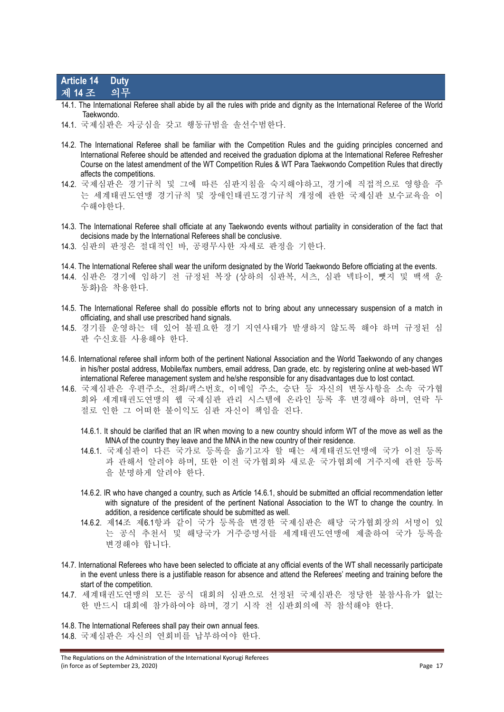#### **Article 14 Duty** 제 **14** 조 의무

- 14.1. The International Referee shall abide by all the rules with pride and dignity as the International Referee of the World Taekwondo.
- 14.1. 국제심판은 자긍심을 갖고 행동규범을 솔선수범한다.
- 14.2. The International Referee shall be familiar with the Competition Rules and the guiding principles concerned and International Referee should be attended and received the graduation diploma at the International Referee Refresher Course on the latest amendment of the WT Competition Rules & WT Para Taekwondo Competition Rules that directly affects the competitions.
- 14.2. 국제심판은 경기규칙 및 그에 따른 심판지침을 숙지해야하고, 경기에 직접적으로 영향을 주 는 세계태권도연맹 경기규칙 및 장애인태권도경기규칙 개정에 관한 국제심판 보수교육을 이 수해야한다.
- 14.3. The International Referee shall officiate at any Taekwondo events without partiality in consideration of the fact that decisions made by the International Referees shall be conclusive.
- 14.3. 심판의 판정은 절대적인 바, 공평무사한 자세로 판정을 기한다.
- 14.4. The International Referee shall wear the uniform designated by the World Taekwondo Before officiating at the events.
- 14.4. 심판은 경기에 임하기 전 규정된 복장 (상하의 심판복, 셔츠, 심판 넥타이, 뺏지 및 백색 운 동화)을 착용한다.
- 14.5. The International Referee shall do possible efforts not to bring about any unnecessary suspension of a match in officiating, and shall use prescribed hand signals.
- 14.5. 경기를 운영하는 데 있어 불필요한 경기 지연사태가 발생하지 않도록 해야 하며 규정된 심 판 수신호를 사용해야 한다.
- 14.6. International referee shall inform both of the pertinent National Association and the World Taekwondo of any changes in his/her postal address, Mobile/fax numbers, email address, Dan grade, etc. by registering online at web-based WT international Referee management system and he/she responsible for any disadvantages due to lost contact.
- 14.6. 국제심판은 우편주소, 전화/팩스번호, 이메일 주소, 승단 등 자신의 변동사항을 소속 국가협 회와 세계태권도연맹의 웹 국제심판 관리 시스템에 온라인 등록 후 변경해야 하며, 연락 두 절로 인한 그 어떠한 불이익도 심판 자신이 책임을 진다.
	- 14.6.1. It should be clarified that an IR when moving to a new country should inform WT of the move as well as the MNA of the country they leave and the MNA in the new country of their residence.
	- 14.6.1. 국제심판이 다른 국가로 등록을 옮기고자 할 때는 세계태권도연맹에 국가 이전 등록 과 관해서 알려야 하며, 또한 이전 국가협회와 새로운 국가협회에 거주지에 관한 등록 을 분명하게 알려야 한다.
	- 14.6.2. IR who have changed a country, such as Article 14.6.1, should be submitted an official recommendation letter with signature of the president of the pertinent National Association to the WT to change the country. In addition, a residence certificate should be submitted as well.
	- 14.6.2. 제14조 제6.1항과 같이 국가 등록을 변경한 국제심판은 해당 국가협회장의 서명이 있 는 공식 추천서 및 해당국가 거주증명서를 세계태권도연맹에 제출하여 국가 등록을 변경해야 합니다.
- 14.7. International Referees who have been selected to officiate at any official events of the WT shall necessarily participate in the event unless there is a justifiable reason for absence and attend the Referees' meeting and training before the start of the competition.
- 14.7. 세계태권도연맹의 모든 공식 대회의 심판으로 선정된 국제심판은 정당한 불참사유가 없는 한 반드시 대회에 참가하여야 하며, 경기 시작 전 심판회의에 꼭 참석해야 한다.

14.8. The International Referees shall pay their own annual fees. 14.8. 국제심판은 자신의 연회비를 납부하여야 한다.

The Regulations on the Administration of the International Kyorugi Referees (in force as of September 23, 2020) Page 17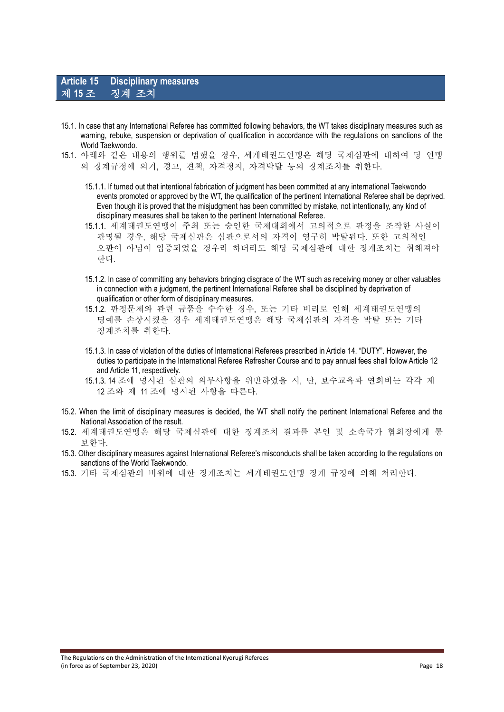- 15.1. In case that any International Referee has committed following behaviors, the WT takes disciplinary measures such as warning, rebuke, suspension or deprivation of qualification in accordance with the regulations on sanctions of the World Taekwondo.
- 15.1. 아래와 같은 내용의 행위를 범했을 경우, 세계태권도연맹은 해당 국제심판에 대하여 당 연맹 의 징계규정에 의거, 경고, 견책, 자격정지, 자격박탈 등의 징계조치를 취한다.
	- 15.1.1. If turned out that intentional fabrication of judgment has been committed at any international Taekwondo events promoted or approved by the WT, the qualification of the pertinent International Referee shall be deprived. Even though it is proved that the misjudgment has been committed by mistake, not intentionally, any kind of disciplinary measures shall be taken to the pertinent International Referee.
	- 15.1.1. 세계태권도연맹이 주최 또는 승인한 국제대회에서 고의적으로 판정을 조작한 사실이 판명될 경우, 해당 국제심판은 심판으로서의 자격이 영구히 박탈된다. 또한 고의적인 오판이 아님이 입증되었을 경우라 하더라도 해당 국제심판에 대한 징계조치는 취해져야 한다.
	- 15.1.2. In case of committing any behaviors bringing disgrace of the WT such as receiving money or other valuables in connection with a judgment, the pertinent International Referee shall be disciplined by deprivation of qualification or other form of disciplinary measures.
	- 15.1.2. 판정문제와 관련 금품을 수수한 경우, 또는 기타 비리로 인해 세계태권도연맹의 명예를 손상시켰을 경우 세계태권도연맹은 해당 국제심판의 자격을 박탈 또는 기타 징계조치를 취한다.
	- 15.1.3. In case of violation of the duties of International Referees prescribed in Article 14. "DUTY". However, the duties to participate in the International Referee Refresher Course and to pay annual fees shall follow Article 12 and Article 11, respectively.
	- 15.1.3. 14 조에 명시된 심판의 의무사항을 위반하였을 시, 단, 보수교육과 연회비는 각각 제 12 조와 제 11 조에 명시된 사항을 따른다.
- 15.2. When the limit of disciplinary measures is decided, the WT shall notify the pertinent International Referee and the National Association of the result.
- 15.2. 세계태권도연맹은 해당 국제심판에 대한 징계조치 결과를 본인 및 소속국가 협회장에게 통 보한다.
- 15.3. Other disciplinary measures against International Referee's misconducts shall be taken according to the regulations on sanctions of the World Taekwondo.
- 15.3. 기타 국제심판의 비위에 대한 징계조치는 세계태권도연맹 징계 규정에 의해 처리한다.